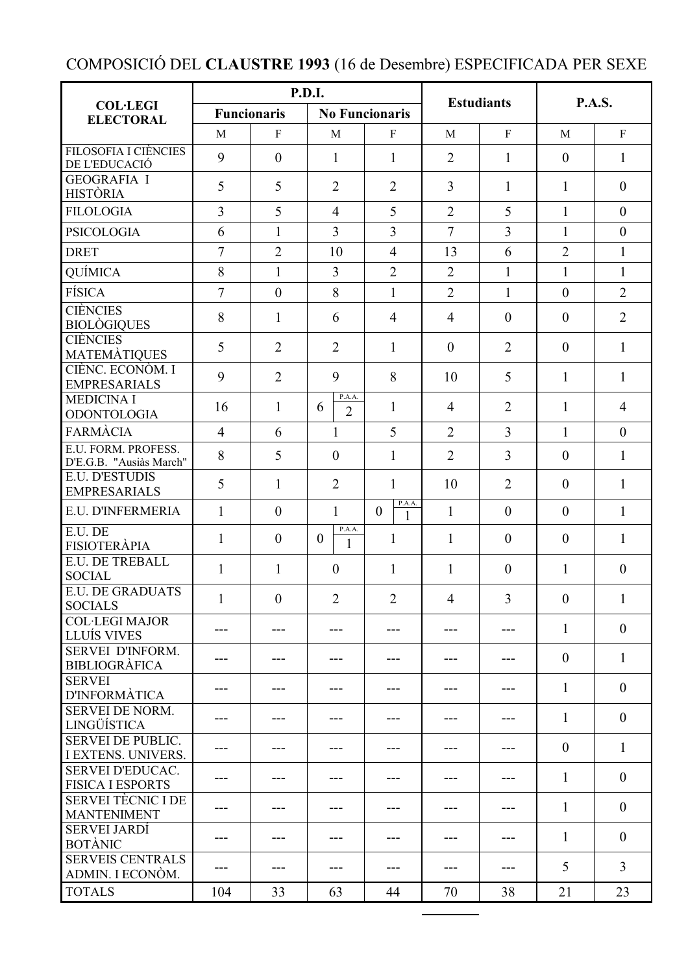## COMPOSICIÓ DEL **CLAUSTRE 1993** (16 de Desembre) ESPECIFICADA PER SEXE

|                                                       | P.D.I.             |                |                               |                         | <b>Estudiants</b> |                | <b>P.A.S.</b>  |                |
|-------------------------------------------------------|--------------------|----------------|-------------------------------|-------------------------|-------------------|----------------|----------------|----------------|
| <b>COL·LEGI</b><br><b>ELECTORAL</b>                   | <b>Funcionaris</b> |                | <b>No Funcionaris</b>         |                         |                   |                |                |                |
|                                                       | M                  | $\mathbf{F}$   | M                             | $\mathbf{F}$            | M                 | $\mathbf F$    | M              | $\rm F$        |
| <b>FILOSOFIA I CIÈNCIES</b><br>DE L'EDUCACIÓ          | 9                  | $\overline{0}$ | $\mathbf{1}$                  | $\mathbf{1}$            | $\overline{2}$    | $\mathbf{1}$   | $\theta$       | $\mathbf{1}$   |
| <b>GEOGRAFIA I</b><br><b>HISTÒRIA</b>                 | 5                  | 5              | $\overline{2}$                | $\overline{2}$          | $\overline{3}$    | $\mathbf{1}$   | $\mathbf{1}$   | $\theta$       |
| <b>FILOLOGIA</b>                                      | $\overline{3}$     | 5              | $\overline{4}$                | 5                       | $\overline{2}$    | 5              | $\mathbf{1}$   | $\theta$       |
| <b>PSICOLOGIA</b>                                     | 6                  | $\mathbf{1}$   | $\overline{3}$                | $\overline{3}$          | $\overline{7}$    | $\overline{3}$ | $\mathbf{1}$   | $\overline{0}$ |
| <b>DRET</b>                                           | $\overline{7}$     | $\overline{2}$ | 10                            | $\overline{4}$          | 13                | 6              | $\overline{2}$ | $\mathbf{1}$   |
| QUÍMICA                                               | 8                  | $\mathbf{1}$   | $\overline{3}$                | $\overline{2}$          | $\overline{2}$    | $\mathbf{1}$   | $\mathbf{1}$   | $\mathbf{1}$   |
| <b>FÍSICA</b>                                         | $\overline{7}$     | $\theta$       | 8                             | $\mathbf{1}$            | $\overline{2}$    | $\mathbf{1}$   | $\mathbf{0}$   | $\overline{2}$ |
| <b>CIÈNCIES</b><br><b>BIOLÒGIQUES</b>                 | 8                  | 1              | 6                             | $\overline{4}$          | $\overline{4}$    | $\mathbf{0}$   | $\theta$       | $\overline{2}$ |
| <b>CIÈNCIES</b><br><b>MATEMÀTIQUES</b>                | 5                  | $\overline{2}$ | $\overline{2}$                | $\mathbf{1}$            | $\theta$          | $\overline{2}$ | $\overline{0}$ | $\mathbf{1}$   |
| CIÈNC. ECONÒM. I<br><b>EMPRESARIALS</b>               | 9                  | $\overline{2}$ | 9                             | 8                       | 10                | 5              | $\mathbf{1}$   | $\mathbf{1}$   |
| <b>MEDICINA I</b><br><b>ODONTOLOGIA</b>               | 16                 | $\mathbf{1}$   | P.A.A.<br>6<br>$\overline{2}$ | $\mathbf{1}$            | $\overline{4}$    | $\overline{2}$ | $\mathbf{1}$   | $\overline{4}$ |
| <b>FARMÀCIA</b>                                       | $\overline{4}$     | 6              | $\mathbf{1}$                  | 5                       | $\overline{2}$    | $\overline{3}$ | $\mathbf{1}$   | $\overline{0}$ |
| E.U. FORM. PROFESS.<br>D'E.G.B. "Ausiàs March"        | 8                  | 5              | $\theta$                      | $\mathbf{1}$            | $\overline{2}$    | $\overline{3}$ | $\mathbf{0}$   | $\mathbf{1}$   |
| <b>E.U. D'ESTUDIS</b><br><b>EMPRESARIALS</b>          | 5                  | $\mathbf{1}$   | $\overline{2}$                | $\mathbf{1}$            | 10                | $\overline{2}$ | $\theta$       | $\mathbf{1}$   |
| E.U. D'INFERMERIA                                     | $\mathbf{1}$       | $\mathbf{0}$   | $\mathbf{1}$                  | P.A.A.<br>$\theta$<br>1 | $\mathbf{1}$      | $\mathbf{0}$   | $\mathbf{0}$   | $\mathbf{1}$   |
| E.U. DE<br><b>FISIOTERÀPIA</b>                        | $\mathbf{1}$       | $\overline{0}$ | P.A.A.<br>$\mathbf{0}$<br>1   | $\mathbf{1}$            | $\mathbf{1}$      | $\mathbf{0}$   | $\theta$       | $\mathbf{1}$   |
| E.U. DE TREBALL<br><b>SOCIAL</b>                      | 1                  | 1              | $\theta$                      | 1                       | 1                 | $\theta$       | 1              | $\theta$       |
| <b>E.U. DE GRADUATS</b><br><b>SOCIALS</b>             | $\mathbf{1}$       | $\overline{0}$ | $\overline{2}$                | $\overline{2}$          | $\overline{4}$    | $\overline{3}$ | $\overline{0}$ | $\mathbf{1}$   |
| <b>COL·LEGI MAJOR</b><br>LLUÍS VIVES                  | ---                |                | ---                           | ---                     |                   | ---            | $\mathbf{1}$   | $\theta$       |
| SERVEI D'INFORM.<br><b>BIBLIOGRÀFICA</b>              | ---                |                |                               |                         | ---               | ---            | $\overline{0}$ | $\mathbf{1}$   |
| <b>SERVEI</b><br><b>D'INFORMÀTICA</b>                 |                    |                |                               |                         |                   |                | $\mathbf{1}$   | $\theta$       |
| <b>SERVEI DE NORM.</b><br>LINGÜÍSTICA                 |                    |                |                               | ---                     |                   |                | $\mathbf{1}$   | $\theta$       |
| <b>SERVEI DE PUBLIC.</b><br><b>I EXTENS. UNIVERS.</b> |                    |                |                               | ---                     | ---               | ---            | $\theta$       | $\mathbf{1}$   |
| <b>SERVEI D'EDUCAC.</b><br><b>FISICA I ESPORTS</b>    |                    |                |                               |                         |                   | ---            | 1              | $\theta$       |
| <b>SERVEI TÈCNIC I DE</b><br><b>MANTENIMENT</b>       | ---                |                | ---                           |                         |                   | ---            | $\mathbf{1}$   | $\overline{0}$ |
| <b>SERVEI JARDÍ</b><br><b>BOTÀNIC</b>                 |                    |                | ---                           |                         |                   | ---            | $\mathbf{1}$   | $\overline{0}$ |
| <b>SERVEIS CENTRALS</b><br>ADMIN. I ECONÒM.           | ---                |                |                               |                         |                   |                | 5              | 3              |
| <b>TOTALS</b>                                         | 104                | 33             | 63                            | 44                      | 70                | 38             | 21             | 23             |